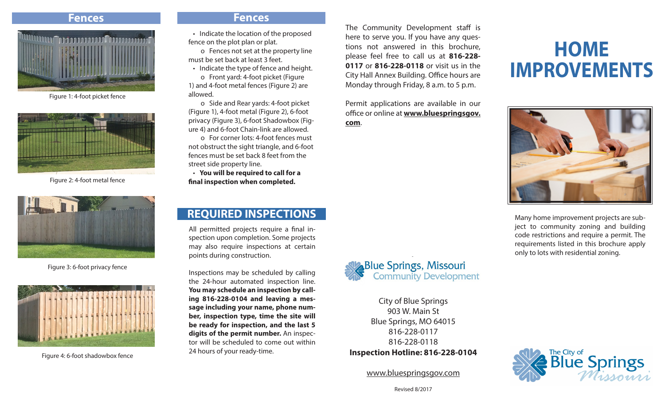

Figure 1: 4-foot picket fence



Figure 2: 4-foot metal fence



Figure 3: 6-foot privacy fence



Figure 4: 6-foot shadowbox fence

#### **Fences Fences**

 • Indicate the location of the proposed fence on the plot plan or plat.

 o Fences not set at the property line must be set back at least 3 feet.

 • Indicate the type of fence and height. o Front yard: 4-foot picket (Figure 1) and 4-foot metal fences (Figure 2) are allowed.

 o Side and Rear yards: 4-foot picket (Figure 1), 4-foot metal (Figure 2), 6-foot privacy (Figure 3), 6-foot Shadowbox (Figure 4) and 6-foot Chain-link are allowed.

 o For corner lots: 4-foot fences must not obstruct the sight triangle, and 6-foot fences must be set back 8 feet from the street side property line.

 • **You will be required to call for a final inspection when completed.**

# **REQUIRED INSPECTIONS**

All permitted projects require a final inspection upon completion. Some projects may also require inspections at certain points during construction.

Inspections may be scheduled by calling the 24-hour automated inspection line. **You may schedule an inspection by calling 816-228-0104 and leaving a message including your name, phone number, inspection type, time the site will be ready for inspection, and the last 5 digits of the permit number.** An inspector will be scheduled to come out within 24 hours of your ready-time.

**Blue Springs, Missouri**<br>Community Development

The Community Development staff is here to serve you. If you have any questions not answered in this brochure, please feel free to call us at **816-228- 0117** or **816-228-0118** or visit us in the City Hall Annex Building. Office hours are Monday through Friday, 8 a.m. to 5 p.m.

Permit applications are available in our office or online at **www.bluespringsgov.**

**com**.

City of Blue Springs 903 W. Main St Blue Springs, MO 64015 816-228-0117 816-228-0118 **Inspection Hotline: 816-228-0104**

www.bluespringsgov.com

# **HOME IMPROVEMENTS**



Many home improvement projects are subject to community zoning and building code restrictions and require a permit. The requirements listed in this brochure apply only to lots with residential zoning.